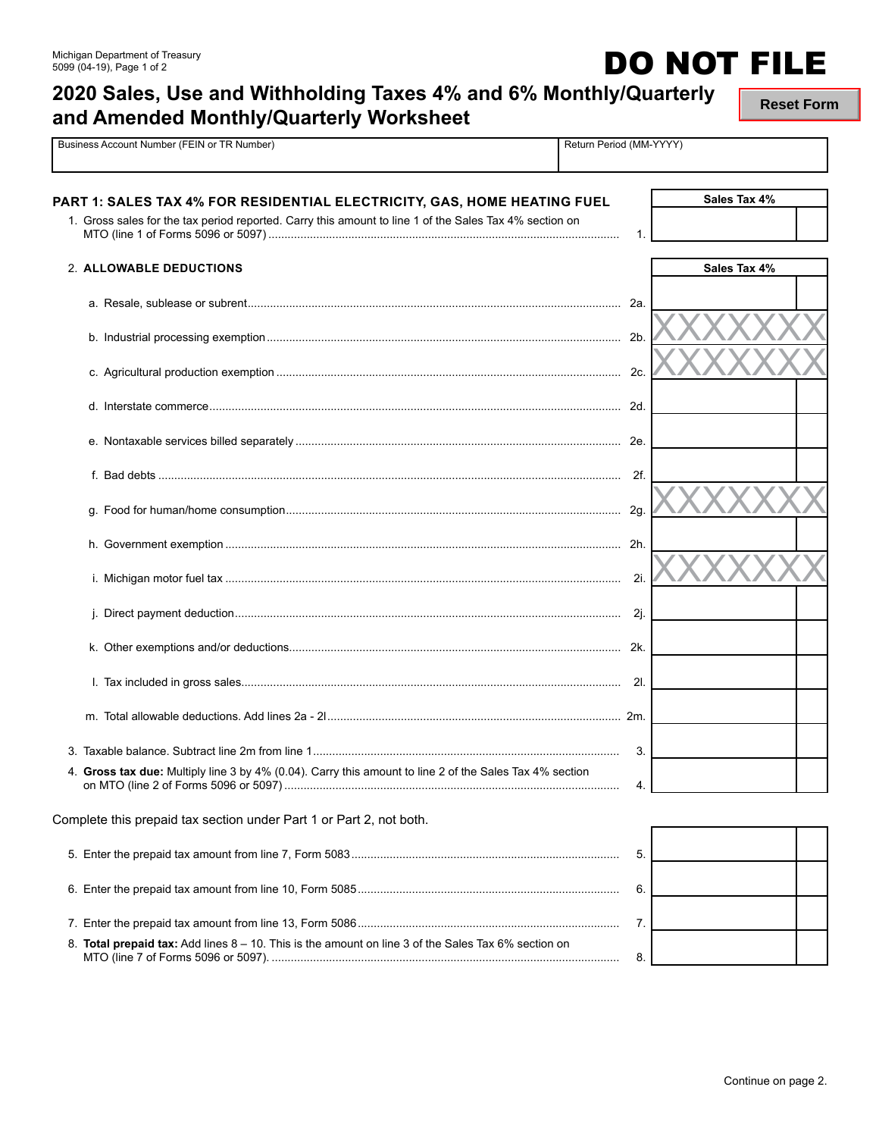## **2020 Sales, Use and Withholding Taxes 4% and 6% Monthly/Quarterly and Amended Monthly/Quarterly Worksheet**

Pusiness Account Number (FEIN or TR Number) Return Period (MM-YYYY)

**Reset Form**

| PART 1: SALES TAX 4% FOR RESIDENTIAL ELECTRICITY, GAS, HOME HEATING FUEL                                |                | Sales Tax 4% |  |
|---------------------------------------------------------------------------------------------------------|----------------|--------------|--|
| 1. Gross sales for the tax period reported. Carry this amount to line 1 of the Sales Tax 4% section on  | 1.             |              |  |
| 2. ALLOWABLE DEDUCTIONS                                                                                 |                | Sales Tax 4% |  |
|                                                                                                         | 2a.            |              |  |
|                                                                                                         | 2 <sub>b</sub> |              |  |
|                                                                                                         | 2c.            |              |  |
|                                                                                                         |                |              |  |
|                                                                                                         |                |              |  |
|                                                                                                         | 2f.            |              |  |
|                                                                                                         |                |              |  |
|                                                                                                         |                |              |  |
|                                                                                                         | 2i.            |              |  |
|                                                                                                         | 2j.            |              |  |
|                                                                                                         | 2k.            |              |  |
|                                                                                                         | 21.            |              |  |
|                                                                                                         |                |              |  |
|                                                                                                         | 3.             |              |  |
| 4. Gross tax due: Multiply line 3 by 4% (0.04). Carry this amount to line 2 of the Sales Tax 4% section | 4.             |              |  |
| Complete this prepaid tax section under Part 1 or Part 2, not both.                                     |                |              |  |
|                                                                                                         | 5.             |              |  |
|                                                                                                         | 6.             |              |  |
|                                                                                                         | 7.             |              |  |
| 8. Total prepaid tax: Add lines 8 - 10. This is the amount on line 3 of the Sales Tax 6% section on     | 8.             |              |  |

**DO NOT FILE**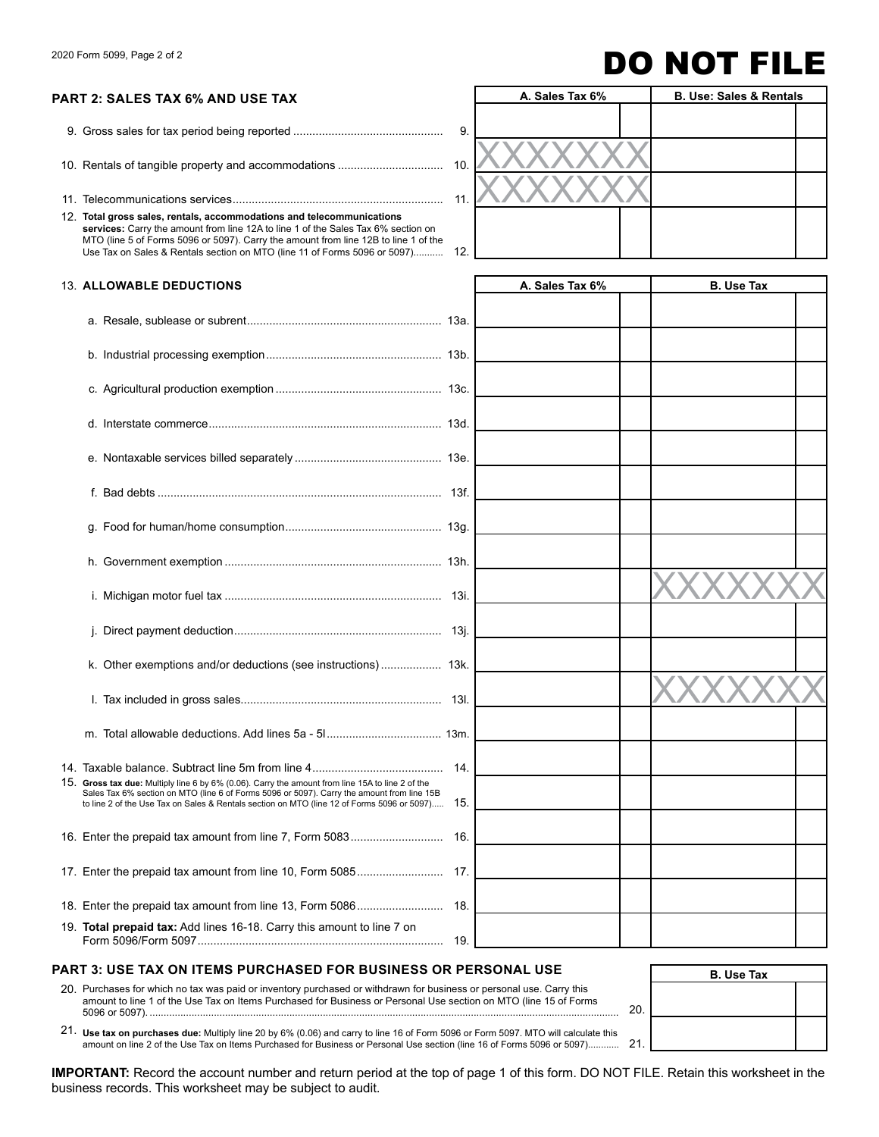# 2020 Form 5099, Page 2 of 2 **DO NOT FILE**

### **PART 2: SALES TAX 6% AND USE TAX**

9. Gross sales for tax period being reported ............................................... 9.

10. Rentals of tangible property and accommodations ...................................

11. Telecommunications services .................................................................. 11.

12. **Total gross sales, rentals, accommodations and telecommunications services:** Carry the amount from line 12A to line 1 of the Sales Tax 6% section on<br>MTO (line 5 of Forms 5096 or 5097). Carry the amount from line 12B to line 1 of the Use Tax on Sales & Rentals section on MTO (line 11 of Forms 5096 or 5097)...........

|     | A. Sales Tax 6% |  | <b>B. Use: Sales &amp; Rentals</b> |  |
|-----|-----------------|--|------------------------------------|--|
| 9.  |                 |  |                                    |  |
| 10. |                 |  |                                    |  |
| 11. |                 |  |                                    |  |
|     |                 |  |                                    |  |
| 12. |                 |  |                                    |  |

### 13. **ALLOWABLE ax DEDUCTIONS A. Sales Tax 6% B. Use T**

| 14.                                                                                                                                                                                                                                                                                                 |  |
|-----------------------------------------------------------------------------------------------------------------------------------------------------------------------------------------------------------------------------------------------------------------------------------------------------|--|
| 15. Gross tax due: Multiply line 6 by 6% (0.06). Carry the amount from line 15A to line 2 of the<br>Sales Tax 6% section on MTO (line 6 of Forms 5096 or 5097). Carry the amount from line 15B<br>15.<br>to line 2 of the Use Tax on Sales & Rentals section on MTO (line 12 of Forms 5096 or 5097) |  |
| 16.                                                                                                                                                                                                                                                                                                 |  |
|                                                                                                                                                                                                                                                                                                     |  |
|                                                                                                                                                                                                                                                                                                     |  |
| 19. Total prepaid tax: Add lines 16-18. Carry this amount to line 7 on<br>19.                                                                                                                                                                                                                       |  |

## **PART 3: USE TAX ON ITEMS PURCHASED FOR BUSINESS OR PERSONAL USE**  $\overline{B. Use Tax}$ 20. Purchases for which no tax was paid or inventory purchased or withdrawn for business or personal use. Carry this

amount to line 1 of the Use Tax on Items Purchased for Business or Personal Use section on MTO (line 15 of Forms 5096 or 5097). ........................................................................................................................................................................ 20.

21. **Use tax on purchases due:** Multiply line 20 by 6% (0.06) and carry to line 16 of Form 5096 or Form 5097. MTO will calculate this amount on line 2 of the Use Tax on Items Purchased for Business or Personal Use section (line 16 of Forms 5096 or 5097). ........... 21.

**IMPORTANT:** Record the account number and return period at the top of page 1 of this form. DO NOT FILE. Retain this worksheet in the business records. This worksheet may be subject to audit.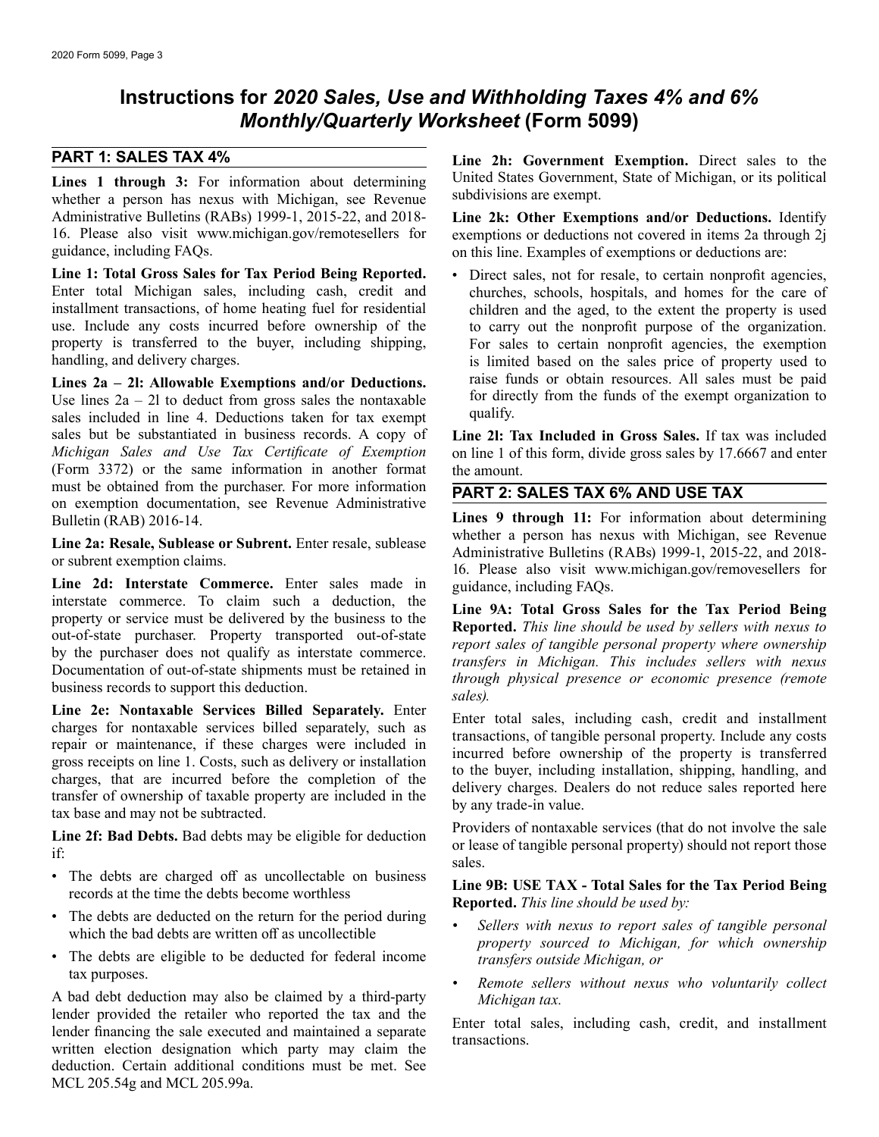## **Instructions for** *2020 Sales, Use and Withholding Taxes 4% and 6% Monthly/Quarterly Worksheet* **(Form 5099)**

whether a person has nexus with Michigan, see Revenue Administrative Bulletins (RABs) 1999-1, 2015-22, and 2018-<br>16. Please also visit www.michigan.gov/remotesellers for exemptions or deductions not covered in items 2a through 2i 16. Please also visit www.michigan.gov/remotesellers for exemptions or deductions not covered in items 2a through 2j guidance, including FAQs. on this line. Examples of exemptions or deductions are:

**Line 1: Total Gross Sales for Tax Period Being Reported.** • Direct sales, not for resale, to certain nonprofit agencies, Enter total Michigan sales, including cash, credit and churches, schools, hospitals, and homes for t installment transactions, of home heating fuel for residential use. Include any costs incurred before ownership of the use. Include any costs incurred before ownership of the to carry out the nonprofit purpose of the organization.<br>
property is transferred to the buyer, including shipping, For sales to certain nonprofit agencies, the exempt property is transferred to the buyer, including shipping, For sales to certain nonprofit agencies, the exemption handling, and delivery charges.<br>
is limited based on the sales price of property used to

Use lines  $2a - 2l$  to deduct from gross sales the nontaxable for directly for directly called in line 4. Deductions taken for tax exempt. sales included in line 4. Deductions taken for tax exempt sales but be substantiated in business records. A copy of **Line 21: Tax Included in Gross Sales.** If tax was included *Michigan Sales and Use Tax Certificate of Exemption* on line 1 of this form, divide gross sales by 17.6 (Form 3372) or the same information in another format the amount.<br>must be obtained from the purchaser. For more information must be obtained from the purchaser. For more information<br>on exemption documentation, see Revenue Administrative<br>**PART 2: SALES TAX 6% AND USE TAX**<br>Lines 9 through 11: For information about<br> $\frac{PART 2: SALES TAX 6% AND USE TAX}{PART 2: SALES TAX 6$ 

Line 2d: Interstate Commerce. Enter sales made in guidance, including FAQs.<br>interstate commerce. To claim such a deduction, the

**Line 2e: Nontaxable Services Billed Separately.** Enter<br>charges for nontaxable services billed separately, such as<br>repair or maintenance, if these charges were included in<br>gross receipts on line 1. Costs, such as delivery

- 
- 
- The debts are eligible to be deducted for federal income *transfers outside Michigan, or*

A bad debt deduction may also be claimed by a third-party *Michigan tax*.<br>lender provided the retailer who reported the tax and the lender provided the retainer who reported the tax and the<br>lender financing the sale executed and maintained a separate<br>written election designation which party may claim the<br>lender financing the sale executed and maintaine deduction. Certain additional conditions must be met. See MCL 205.54g and MCL 205.99a.

**PART 1: SALES TAX 4% Line 2h: Government Exemption.** Direct sales to the **Lines 1 through 3:** For information about determining United States Government, State of Michigan, or its political whether a nerson has nexus with Michigan see Revenue subdivisions are exempt.

on this line. Examples of exemptions or deductions are:

churches, schools, hospitals, and homes for the care of children and the aged, to the extent the property is used is limited based on the sales price of property used to raise funds or obtain resources. All sales must be paid **Lines 2a – 2l: Allowable Exemptions and/or Deductions.** The funds or obtain resources. All sales must be paid in the lines  $2a - 2l$  to deduct from gross sales the nontaxable for directly from the funds of the exempt organ

on line 1 of this form, divide gross sales by 17.6667 and enter

Lines 9 through 11: For information about determining whether a person has nexus with Michigan, see Revenue Line 2a: Resale, Sublease or Subrent. Enter resale, sublease<br>or subrent exemption claims.<br>16. Please also visit www.michigan.gov/removesellers for

interstate commerce. To claim such a deduction, the<br>property or service must be delivered by the business to the<br>out-of-state purchaser. Property transported out-of-state<br>by the purchaser does not qualify as interstate com

**Line 2f: Bad Debts.** Bad debts may be eligible for deduction or lease of nontaxable services (that do not involve the sale or lease of tangible personal property) should not report those sales.<br>
• The debts are charged of

# The debts are enarged on as unconcerable on business<br>records at the time the debts become worthless<br>**Example 1999:** USE TAX - Total Sales for the Tax Period Being<br>Reported. This line should be used by:<br> $\frac{1}{2}$ <br>The debts

- The debts are deducted on the return for the period during<br>which the bad debts are written off as uncollectible<br>property sourced to Michigan, for which ownership
	- **•** Remote sellers without nexus who voluntarily collect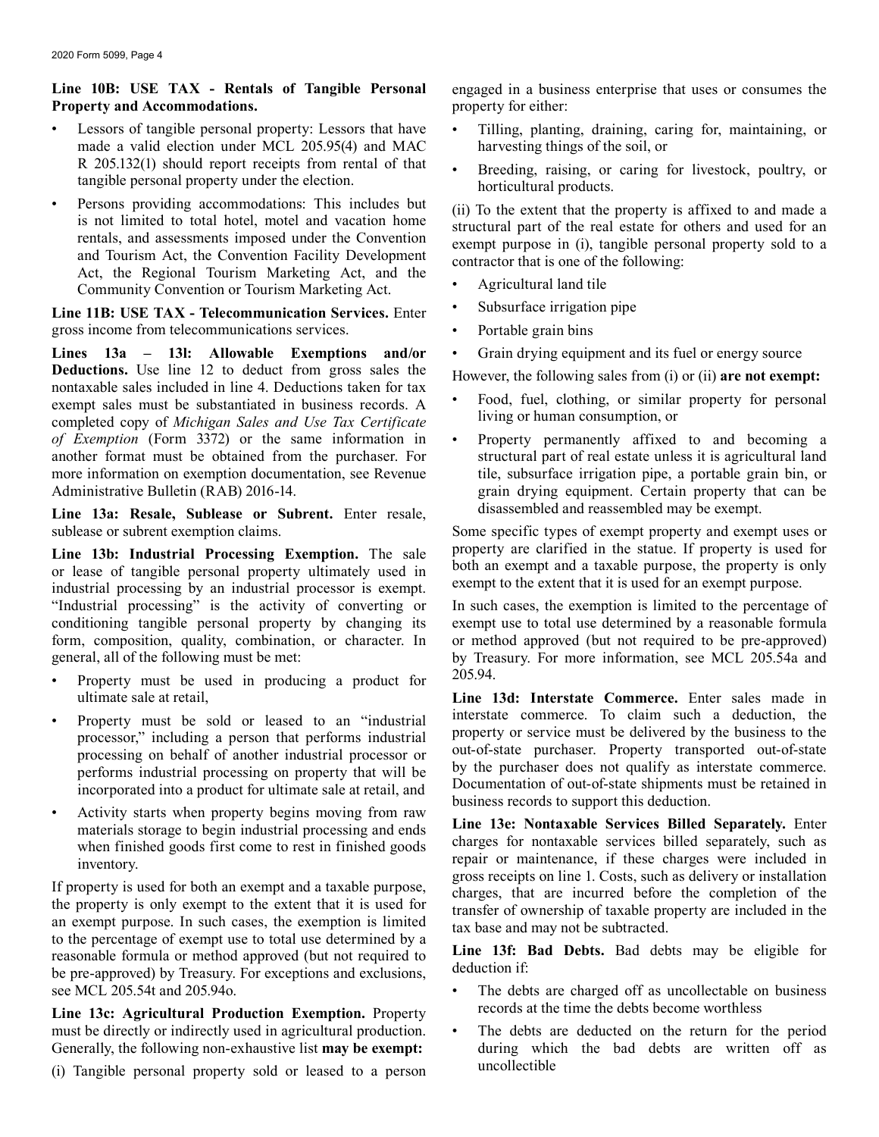# **Property and Accommodations.** property for either:

- made a valid election under MCL 205.95(4) and MAC harvesting things of the soil, or
- Persons providing accommodations: This includes but<br>
is not limited to total hotel, motel and vacation home<br>
rentals, and assessments imposed under the Convention<br>
and Tourism Act, the Convention Facility Development<br>
Ac

• Subsurface irrigation pipe **Line 11B: USE TAX - Telecommunication Services.** Enter gross income from telecommunications services. • Portable grain bins

Lines 13a – 13l: Allowable Exemptions and/or • Grain drying equipment and its fuel or energy source **Deductions.** Use line 12 to deduct from gross sales the However, the following sales from (i) or (ii) **are not exempt:** nontaxable sales included in line 4. Deductions taken for tax where  $\frac{1}{\sqrt{2}}$  and  $\frac{1}{\sqrt{2}}$  are exempt sales must be substantiated in business records. A completed copy of *Michigan Sales and Use Tax Certificate* living or human consumption, or *of Exemption* (Form 3372) or the same information in • Property permanen another format must be obtained from the purchaser. For structural part of real estate unless it is agricultural land<br>more information on exemption documentation, see Revenue tile, subsurface irrigation pipe, a portable gr more information on exemption documentation, see Revenue tile, subsurface irrigation pipe, a portable grain bin, or<br>Administrative Bulletin (RAB) 2016-14.<br>See Revenue file, subsurface irrigation pipe, a portable grain bin,

Line 13a: Resale, Sublease or Subrent. Enter resale, disassembled and reassembled may be exempt.

Line 13b: Industrial Processing Exemption. The sale property are clarified in the statue. If property is used for<br>or lease of tangible personal property ultimately used in both an exempt and a taxable purpose, the property or lease of tangible personal property ultimately used in both an exempt and a taxable purpose, the property is c<br>industrial processing by an industrial processor is exempt. exempt to the extent that it is used for an exem "Industrial processing" is the activity of converting or In such cases, the exemption is limited to the percentage of conditioning tangible personal property by changing its exempt use to total use determined by a reasonab conditioning tangible personal property by changing its exempt use to total use determined by a reasonable formula<br>form, composition, quality, combination, or character. In or method approved (but not required to be pre-ap form, composition, quality, combination, or character. In or method approved (but not required to be pre-approved) general, all of the following must be met:<br>by Treasury. For more information, see MCL 205.54a and

- Property must be used in producing a product for
- 
- Activity starts when property begins moving from raw

reasonable formula or method approved (but not required to **Line 131:** I<br>be pre-approved) by Treasury. For exceptions and exclusions, deduction if: see MCL 205.54t and 205.94o. • The debts are charged off as uncollectable on business

**Line 13c: Agricultural Production Exemption.** Property records at the time the debts become worthless must be directly or indirectly used in agricultural production. • The debts are deducted on the return for the period Generally, the following non-exhaustive list **may be exempt:** during which the bad debts are written off as

uncollectible (i) Tangible personal property sold or leased to a person

**Line 10B: USE TAX - Rentals of Tangible Personal** engaged in a business enterprise that uses or consumes the

- Lessors of tangible personal property: Lessors that have Tilling, planting, draining, caring for, maintaining, or
- R 205.132(1) should report receipts from rental of that <br>
 Breeding, raising, or caring for livestock, poultry, or<br>
horticultural products.

- 
- 
- 
- 

- 
- Property permanently affixed to and becoming a grain drying equipment. Certain property that can be

sublease or subrent exemption claims.<br> **Some specific types of exempt property and exempt uses or**<br> **I** ine 13h: Industrial Processing Exemption The sole property are clarified in the statue. If property is used for

by Treasury. For more information, see MCL 205.54a and 205.94

ultimate sale at retail, **Line 13d: Interstate Commerce.** Enter sales made in • Property must be sold or leased to an "industrial interstate commerce. To claim such a deduction, the processor," including a person that performs industrial processor or property or service must be delivered by the busi

materials storage to begin industrial processing and ends **Line 13e: Nontaxable Services Billed Separately.** Enter when finished goods first come to rest in finished goods **Line 13e:** Charges for nontaxable services billed when finished goods first come to rest in finished goods<br>inventory.<br>If property is used for both an exempt and a taxable purpose,<br>the property is used for both an exempt and a taxable purpose,<br>the property is only exempt t

- 
-